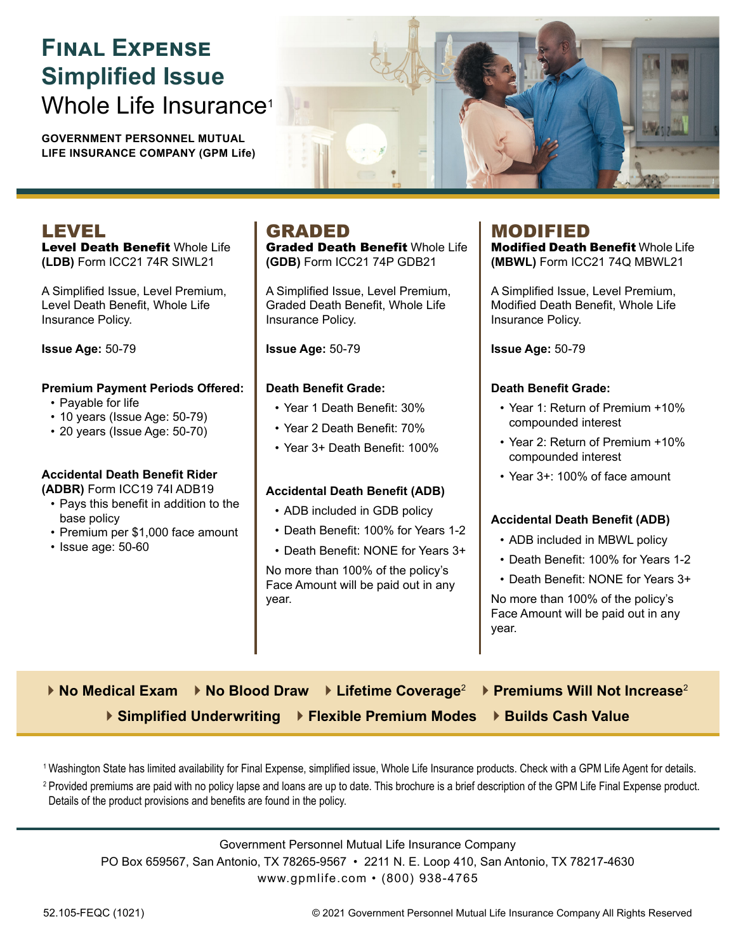# $F$ **INAL EXPENSE Simplified Issue** Whole Life Insurance<sup>1</sup>

**GOVERNMENT PERSONNEL MUTUAL LIFE INSURANCE COMPANY (GPM Life)**



# LEVEL

Level Death Benefit Whole Life **(LDB)** Form ICC21 74R SIWL21

A Simplified Issue, Level Premium, Level Death Benefit, Whole Life Insurance Policy.

**Issue Age:** 50-79

#### **Premium Payment Periods Offered:**

- Payable for life
- 10 years (Issue Age: 50-79)
- 20 years (Issue Age: 50-70)

## **Accidental Death Benefit Rider**

#### **(ADBR)** Form ICC19 74I ADB19 • Pays this benefit in addition to the

- base policy
- Premium per \$1,000 face amount
- Issue age: 50-60

## GRADED

Graded Death Benefit Whole Life **(GDB)** Form ICC21 74P GDB21

A Simplified Issue, Level Premium, Graded Death Benefit, Whole Life Insurance Policy.

**Issue Age:** 50-79

## **Death Benefit Grade:**

- Year 1 Death Benefit: 30%
- Year 2 Death Benefit: 70%
- Year 3+ Death Benefit: 100%

## **Accidental Death Benefit (ADB)**

- ADB included in GDB policy
- Death Benefit: 100% for Years 1-2
- Death Benefit: NONE for Years 3+

No more than 100% of the policy's Face Amount will be paid out in any year.

## MODIFIED

Modified Death Benefit Whole Life **(MBWL)** Form ICC21 74Q MBWL21

A Simplified Issue, Level Premium, Modified Death Benefit, Whole Life Insurance Policy.

**Issue Age:** 50-79

## **Death Benefit Grade:**

- Year 1: Return of Premium +10% compounded interest
- Year 2: Return of Premium +10% compounded interest
- Year 3+: 100% of face amount

## **Accidental Death Benefit (ADB)**

- ADB included in MBWL policy
- Death Benefit: 100% for Years 1-2
- Death Benefit: NONE for Years 3+

No more than 100% of the policy's Face Amount will be paid out in any year.

```
 No Medical Exam  No Blood Draw  Lifetime Coverage2
Premiums Will Not Increase2
      Simplified Underwriting  Flexible Premium Modes  Builds Cash Value
```
1 Washington State has limited availability for Final Expense, simplified issue, Whole Life Insurance products. Check with a GPM Life Agent for details. <sup>2</sup> Provided premiums are paid with no policy lapse and loans are up to date. This brochure is a brief description of the GPM Life Final Expense product. Details of the product provisions and benefits are found in the policy.

Government Personnel Mutual Life Insurance Company PO Box 659567, San Antonio, TX 78265-9567 • 2211 N. E. Loop 410, San Antonio, TX 78217-4630 www.gpmlife.com • (800) 938-4765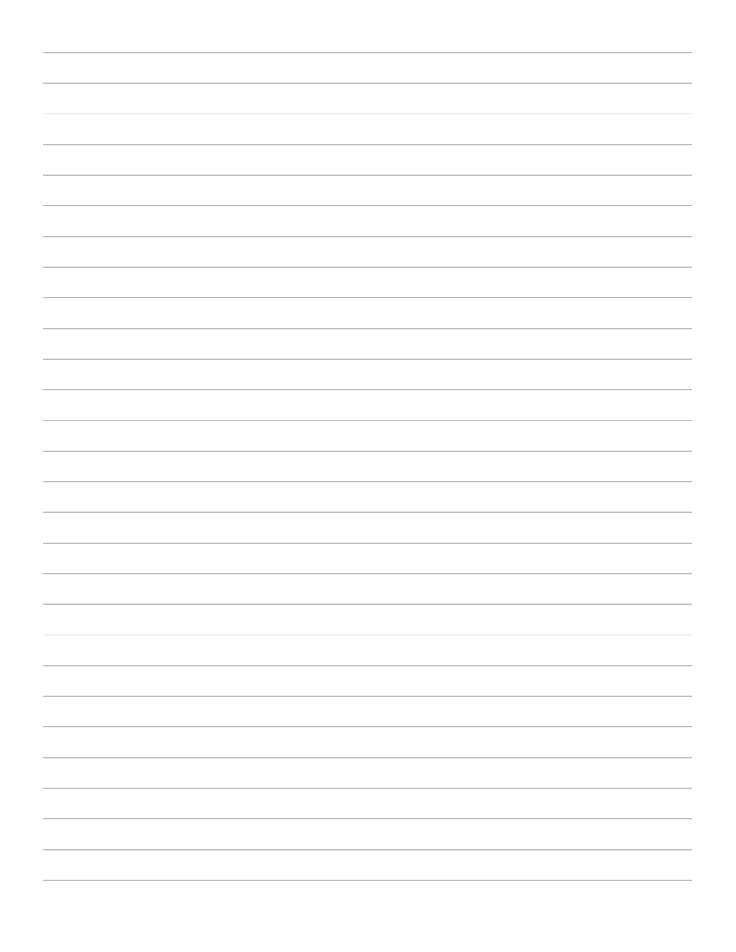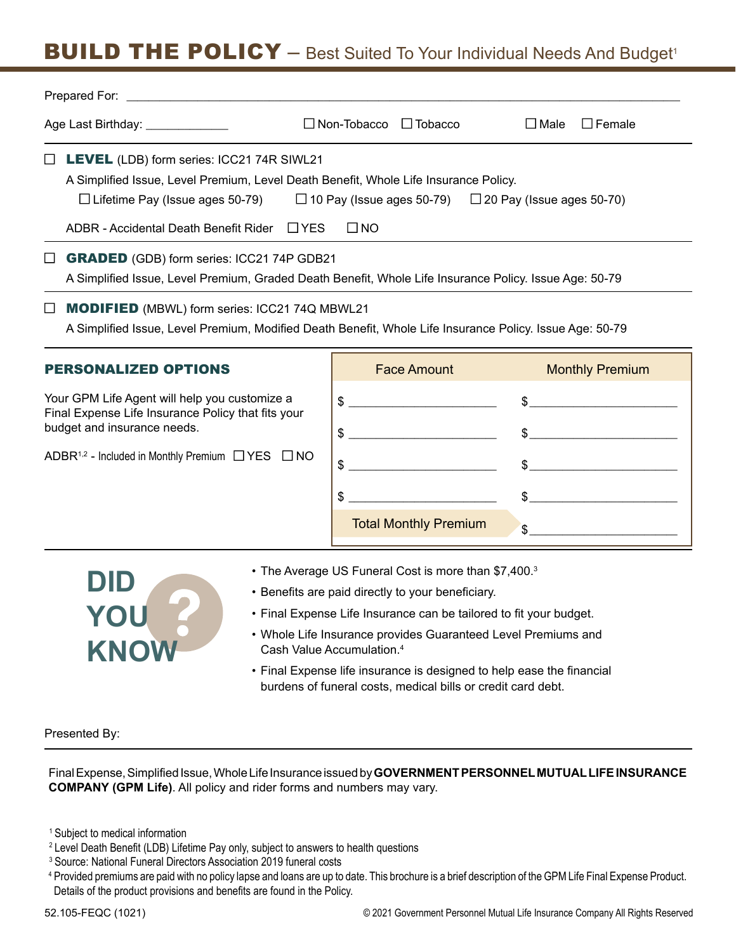## **BUILD THE POLICY** – Best Suited To Your Individual Needs And Budget<sup>1</sup>

| Prepared For:                     |                                                                                                                                                                                                                                                                                                                    |                         |  |             |               |
|-----------------------------------|--------------------------------------------------------------------------------------------------------------------------------------------------------------------------------------------------------------------------------------------------------------------------------------------------------------------|-------------------------|--|-------------|---------------|
| Age Last Birthday: ______________ |                                                                                                                                                                                                                                                                                                                    | □ Non-Tobacco □ Tobacco |  | $\Box$ Male | $\Box$ Female |
| $\Box$                            | <b>LEVEL</b> (LDB) form series: ICC21 74R SIWL21<br>A Simplified Issue, Level Premium, Level Death Benefit, Whole Life Insurance Policy.<br>$\Box$ 10 Pay (Issue ages 50-79) $\Box$ 20 Pay (Issue ages 50-70)<br>$\Box$ Lifetime Pay (Issue ages 50-79)<br>$\Box$ NO<br>ADBR - Accidental Death Benefit Rider JYES |                         |  |             |               |
| $\Box$                            | <b>GRADED</b> (GDB) form series: ICC21 74P GDB21<br>A Simplified Issue, Level Premium, Graded Death Benefit, Whole Life Insurance Policy. Issue Age: 50-79                                                                                                                                                         |                         |  |             |               |

**MODIFIED** (MBWL) form series: ICC21 74Q MBWL21 A Simplified Issue, Level Premium, Modified Death Benefit, Whole Life Insurance Policy. Issue Age: 50-79

| <b>PERSONALIZED OPTIONS</b>                                                                         | <b>Face Amount</b>           | <b>Monthly Premium</b> |
|-----------------------------------------------------------------------------------------------------|------------------------------|------------------------|
| Your GPM Life Agent will help you customize a<br>Final Expense Life Insurance Policy that fits your | \$                           | \$                     |
| budget and insurance needs.                                                                         | \$                           |                        |
| ADBR <sup>1,2</sup> - Included in Monthly Premium $\Box$ YES $\Box$ NO                              | \$                           |                        |
|                                                                                                     | \$                           |                        |
|                                                                                                     | <b>Total Monthly Premium</b> |                        |



- The Average US Funeral Cost is more than \$7,400.3
- Benefits are paid directly to your beneficiary.
- Final Expense Life Insurance can be tailored to fit your budget.
- Whole Life Insurance provides Guaranteed Level Premiums and Cash Value Accumulation.4
- Final Expense life insurance is designed to help ease the financial burdens of funeral costs, medical bills or credit card debt.

Presented By:

Final Expense, Simplified Issue, Whole Life Insurance issued by **GOVERNMENT PERSONNEL MUTUAL LIFE INSURANCE COMPANY (GPM Life)**. All policy and rider forms and numbers may vary.

<sup>&</sup>lt;sup>1</sup> Subject to medical information

<sup>&</sup>lt;sup>2</sup> Level Death Benefit (LDB) Lifetime Pay only, subject to answers to health questions

<sup>3</sup> Source: National Funeral Directors Association 2019 funeral costs

<sup>4</sup> Provided premiums are paid with no policy lapse and loans are up to date. This brochure is a brief description of the GPM Life Final Expense Product. Details of the product provisions and benefits are found in the Policy.